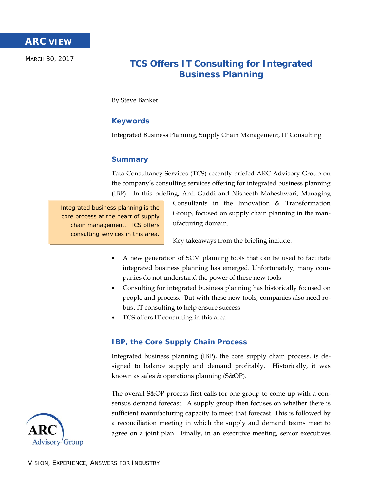MARCH 30, 2017

# **TCS Offers IT Consulting for Integrated Business Planning**

By Steve Banker

# **Keywords**

Integrated Business Planning, Supply Chain Management, IT Consulting

## **Summary**

Tata Consultancy Services (TCS) recently briefed ARC Advisory Group on the company's consulting services offering for integrated business planning (IBP). In this briefing, Anil Gaddi and Nisheeth Maheshwari, Managing

Integrated business planning is the core process at the heart of supply chain management. TCS offers consulting services in this area.

Consultants in the Innovation & Transformation Group, focused on supply chain planning in the manufacturing domain.

Key takeaways from the briefing include:

- A new generation of SCM planning tools that can be used to facilitate integrated business planning has emerged. Unfortunately, many companies do not understand the power of these new tools
- Consulting for integrated business planning has historically focused on people and process. But with these new tools, companies also need robust IT consulting to help ensure success
- TCS offers IT consulting in this area

## **IBP, the Core Supply Chain Process**

Integrated business planning (IBP), the core supply chain process, is designed to balance supply and demand profitably. Historically, it was known as sales & operations planning (S&OP).

The overall S&OP process first calls for one group to come up with a consensus demand forecast. A supply group then focuses on whether there is sufficient manufacturing capacity to meet that forecast. This is followed by a reconciliation meeting in which the supply and demand teams meet to agree on a joint plan. Finally, in an executive meeting, senior executives

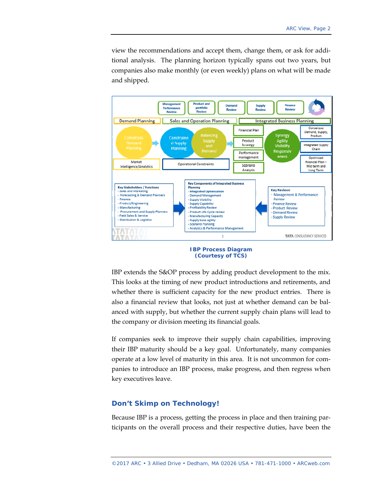view the recommendations and accept them, change them, or ask for additional analysis. The planning horizon typically spans out two years, but companies also make monthly (or even weekly) plans on what will be made and shipped.



**IBP Process Diagram (Courtesy of TCS)** 

IBP extends the S&OP process by adding product development to the mix. This looks at the timing of new product introductions and retirements, and whether there is sufficient capacity for the new product entries. There is also a financial review that looks, not just at whether demand can be balanced with supply, but whether the current supply chain plans will lead to the company or division meeting its financial goals.

If companies seek to improve their supply chain capabilities, improving their IBP maturity should be a key goal. Unfortunately, many companies operate at a low level of maturity in this area. It is not uncommon for companies to introduce an IBP process, make progress, and then regress when key executives leave.

#### **Don't Skimp on Technology!**

Because IBP is a process, getting the process in place and then training participants on the overall process and their respective duties, have been the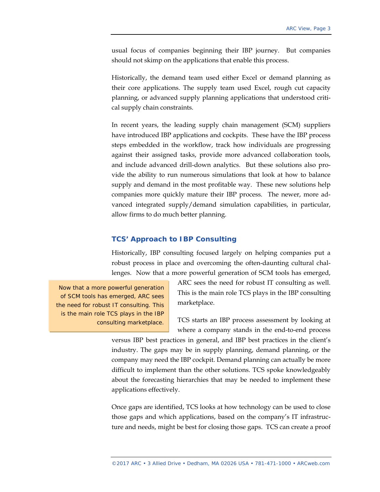usual focus of companies beginning their IBP journey. But companies should not skimp on the applications that enable this process.

Historically, the demand team used either Excel or demand planning as their core applications. The supply team used Excel, rough cut capacity planning, or advanced supply planning applications that understood critical supply chain constraints.

In recent years, the leading supply chain management (SCM) suppliers have introduced IBP applications and cockpits. These have the IBP process steps embedded in the workflow, track how individuals are progressing against their assigned tasks, provide more advanced collaboration tools, and include advanced drill-down analytics. But these solutions also provide the ability to run numerous simulations that look at how to balance supply and demand in the most profitable way. These new solutions help companies more quickly mature their IBP process. The newer, more advanced integrated supply/demand simulation capabilities, in particular, allow firms to do much better planning.

#### **TCS' Approach to IBP Consulting**

Historically, IBP consulting focused largely on helping companies put a robust process in place and overcoming the often-daunting cultural challenges. Now that a more powerful generation of SCM tools has emerged,

Now that a more powerful generation of SCM tools has emerged, ARC sees the need for robust IT consulting. This is the main role TCS plays in the IBP consulting marketplace.

ARC sees the need for robust IT consulting as well. This is the main role TCS plays in the IBP consulting marketplace.

TCS starts an IBP process assessment by looking at where a company stands in the end-to-end process

versus IBP best practices in general, and IBP best practices in the client's industry. The gaps may be in supply planning, demand planning, or the company may need the IBP cockpit. Demand planning can actually be more difficult to implement than the other solutions. TCS spoke knowledgeably about the forecasting hierarchies that may be needed to implement these applications effectively.

Once gaps are identified, TCS looks at how technology can be used to close those gaps and which applications, based on the company's IT infrastructure and needs, might be best for closing those gaps. TCS can create a proof